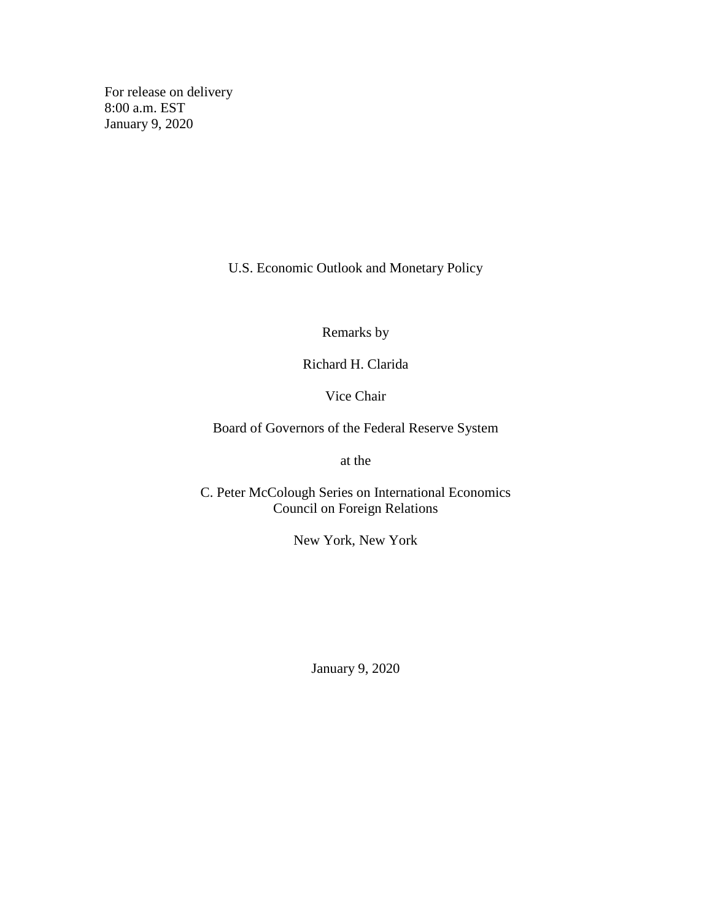For release on delivery 8:00 a.m. EST January 9, 2020

U.S. Economic Outlook and Monetary Policy

Remarks by

Richard H. Clarida

Vice Chair

Board of Governors of the Federal Reserve System

at the

C. Peter McColough Series on International Economics Council on Foreign Relations

New York, New York

January 9, 2020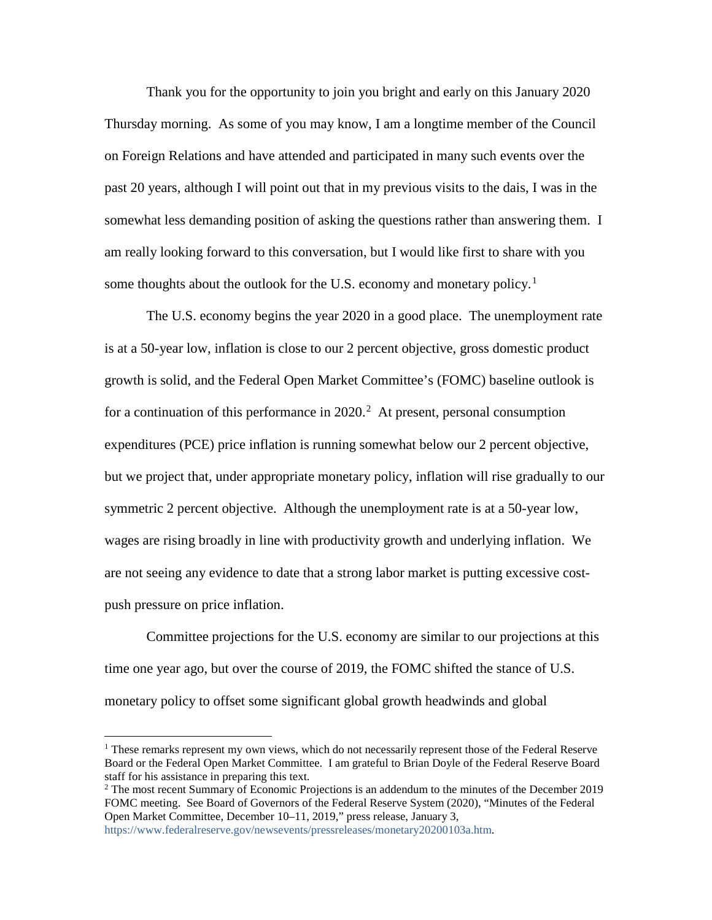Thank you for the opportunity to join you bright and early on this January 2020 Thursday morning. As some of you may know, I am a longtime member of the Council on Foreign Relations and have attended and participated in many such events over the past 20 years, although I will point out that in my previous visits to the dais, I was in the somewhat less demanding position of asking the questions rather than answering them. I am really looking forward to this conversation, but I would like first to share with you some thoughts about the outlook for the U.S. economy and monetary policy.<sup>[1](#page-1-0)</sup>

The U.S. economy begins the year 2020 in a good place. The unemployment rate is at a 50-year low, inflation is close to our 2 percent objective, gross domestic product growth is solid, and the Federal Open Market Committee's (FOMC) baseline outlook is for a continuation of this performance in  $2020$  $2020$ .<sup>2</sup> At present, personal consumption expenditures (PCE) price inflation is running somewhat below our 2 percent objective, but we project that, under appropriate monetary policy, inflation will rise gradually to our symmetric 2 percent objective. Although the unemployment rate is at a 50-year low, wages are rising broadly in line with productivity growth and underlying inflation. We are not seeing any evidence to date that a strong labor market is putting excessive costpush pressure on price inflation.

Committee projections for the U.S. economy are similar to our projections at this time one year ago, but over the course of 2019, the FOMC shifted the stance of U.S. monetary policy to offset some significant global growth headwinds and global

[https://www.federalreserve.gov/newsevents/pressreleases/monetary20200103a.htm.](https://www.federalreserve.gov/newsevents/pressreleases/monetary20200103a.htm)

<span id="page-1-0"></span> <sup>1</sup> These remarks represent my own views, which do not necessarily represent those of the Federal Reserve Board or the Federal Open Market Committee. I am grateful to Brian Doyle of the Federal Reserve Board staff for his assistance in preparing this text.

<span id="page-1-1"></span><sup>&</sup>lt;sup>2</sup> The most recent Summary of Economic Projections is an addendum to the minutes of the December 2019 FOMC meeting. See Board of Governors of the Federal Reserve System (2020), "Minutes of the Federal Open Market Committee, December 10–11, 2019," press release, January 3,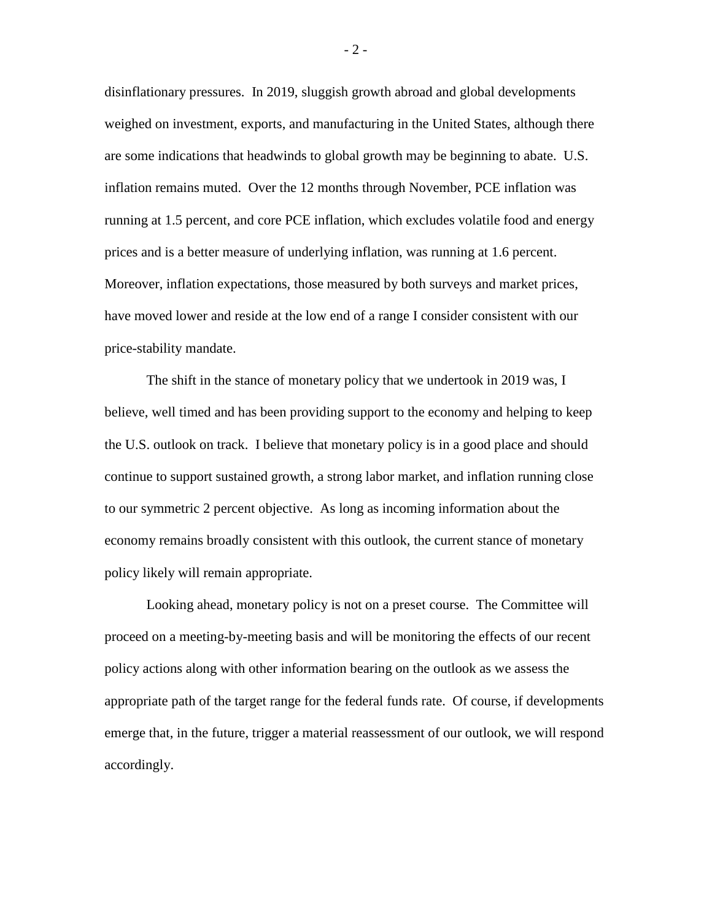disinflationary pressures. In 2019, sluggish growth abroad and global developments weighed on investment, exports, and manufacturing in the United States, although there are some indications that headwinds to global growth may be beginning to abate. U.S. inflation remains muted. Over the 12 months through November, PCE inflation was running at 1.5 percent, and core PCE inflation, which excludes volatile food and energy prices and is a better measure of underlying inflation, was running at 1.6 percent. Moreover, inflation expectations, those measured by both surveys and market prices, have moved lower and reside at the low end of a range I consider consistent with our price-stability mandate.

The shift in the stance of monetary policy that we undertook in 2019 was, I believe, well timed and has been providing support to the economy and helping to keep the U.S. outlook on track. I believe that monetary policy is in a good place and should continue to support sustained growth, a strong labor market, and inflation running close to our symmetric 2 percent objective. As long as incoming information about the economy remains broadly consistent with this outlook, the current stance of monetary policy likely will remain appropriate.

Looking ahead, monetary policy is not on a preset course. The Committee will proceed on a meeting-by-meeting basis and will be monitoring the effects of our recent policy actions along with other information bearing on the outlook as we assess the appropriate path of the target range for the federal funds rate. Of course, if developments emerge that, in the future, trigger a material reassessment of our outlook, we will respond accordingly.

- 2 -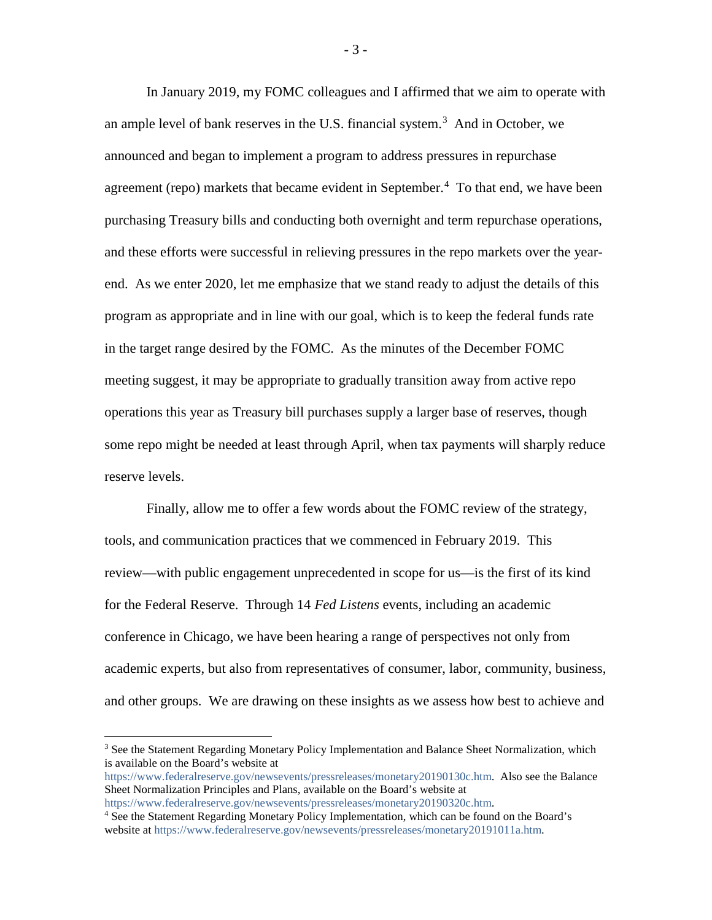In January 2019, my FOMC colleagues and I affirmed that we aim to operate with an ample level of bank reserves in the U.S. financial system. [3](#page-3-0) And in October, we announced and began to implement a program to address pressures in repurchase agreement (repo) markets that became evident in September.<sup>[4](#page-3-1)</sup> To that end, we have been purchasing Treasury bills and conducting both overnight and term repurchase operations, and these efforts were successful in relieving pressures in the repo markets over the yearend. As we enter 2020, let me emphasize that we stand ready to adjust the details of this program as appropriate and in line with our goal, which is to keep the federal funds rate in the target range desired by the FOMC. As the minutes of the December FOMC meeting suggest, it may be appropriate to gradually transition away from active repo operations this year as Treasury bill purchases supply a larger base of reserves, though some repo might be needed at least through April, when tax payments will sharply reduce reserve levels.

Finally, allow me to offer a few words about the FOMC review of the strategy, tools, and communication practices that we commenced in February 2019. This review—with public engagement unprecedented in scope for us—is the first of its kind for the Federal Reserve. Through 14 *Fed Listens* events, including an academic conference in Chicago, we have been hearing a range of perspectives not only from academic experts, but also from representatives of consumer, labor, community, business, and other groups. We are drawing on these insights as we assess how best to achieve and

<span id="page-3-0"></span><sup>&</sup>lt;sup>3</sup> See the Statement Regarding Monetary Policy Implementation and Balance Sheet Normalization, which is available on the Board's website at

[https://www.federalreserve.gov/newsevents/pressreleases/monetary20190130c.htm.](https://www.federalreserve.gov/newsevents/pressreleases/monetary20190130c.htm) Also see the Balance Sheet Normalization Principles and Plans, available on the Board's website at

[https://www.federalreserve.gov/newsevents/pressreleases/monetary20190320c.htm.](https://www.federalreserve.gov/newsevents/pressreleases/monetary20190320c.htm)

<span id="page-3-1"></span><sup>4</sup> See the Statement Regarding Monetary Policy Implementation, which can be found on the Board's website at [https://www.federalreserve.gov/newsevents/pressreleases/monetary20191011a.htm.](https://www.federalreserve.gov/newsevents/pressreleases/monetary20191011a.htm)